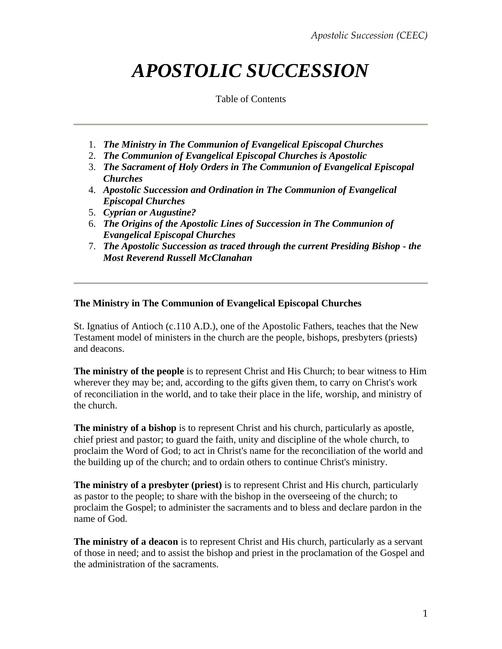# *APOSTOLIC SUCCESSION*

Table of Contents

- 1. *[The Ministry in The Communion of Evangelical Episcopal Churches](http://www.theceec.org/values_appostolic.htm#TheMinistry#TheMinistry)*
- 2. *[The Communion of Evangelical Episcopal Churches is Apostolic](http://www.theceec.org/values_appostolic.htm#TheCommunion#TheCommunion)*
- 3. *[The Sacrament of Holy Orders in The Communion of Evangelical Episcopal](http://www.theceec.org/values_appostolic.htm#TheSacrement#TheSacrement) [Churches](http://www.theceec.org/values_appostolic.htm#TheSacrement#TheSacrement)*
- 4. *[Apostolic Succession and Ordination in The Communion of Evangelical](http://www.theceec.org/values_appostolic.htm#ApostolicSuccession#ApostolicSuccession)  [Episcopal Churches](http://www.theceec.org/values_appostolic.htm#ApostolicSuccession#ApostolicSuccession)*
- 5. *[Cyprian or Augustine?](http://www.theceec.org/values_appostolic.htm#CyprianorAugustine#CyprianorAugustine)*
- 6. *[The Origins of the Apostolic Lines of Succession in The Communion of](http://www.theceec.org/values_appostolic.htm#ApostolicCEEC#ApostolicCEEC)  [Evangelical Episcopal Churches](http://www.theceec.org/values_appostolic.htm#ApostolicCEEC#ApostolicCEEC)*
- 7. *[The Apostolic Succession as traced through the current Presiding Bishop -](http://www.theceec.org/russapos.html) the [Most Reverend Russell McClanahan](http://www.theceec.org/russapos.html)*

#### **The Ministry in The Communion of Evangelical Episcopal Churches**

St. Ignatius of Antioch (c.110 A.D.), one of the Apostolic Fathers, teaches that the New Testament model of ministers in the church are the people, bishops, presbyters (priests) and deacons.

**The ministry of the people** is to represent Christ and His Church; to bear witness to Him wherever they may be; and, according to the gifts given them, to carry on Christ's work of reconciliation in the world, and to take their place in the life, worship, and ministry of the church.

**The ministry of a bishop** is to represent Christ and his church, particularly as apostle, chief priest and pastor; to guard the faith, unity and discipline of the whole church, to proclaim the Word of God; to act in Christ's name for the reconciliation of the world and the building up of the church; and to ordain others to continue Christ's ministry.

**The ministry of a presbyter (priest)** is to represent Christ and His church, particularly as pastor to the people; to share with the bishop in the overseeing of the church; to proclaim the Gospel; to administer the sacraments and to bless and declare pardon in the name of God.

**The ministry of a deacon** is to represent Christ and His church, particularly as a servant of those in need; and to assist the bishop and priest in the proclamation of the Gospel and the administration of the sacraments.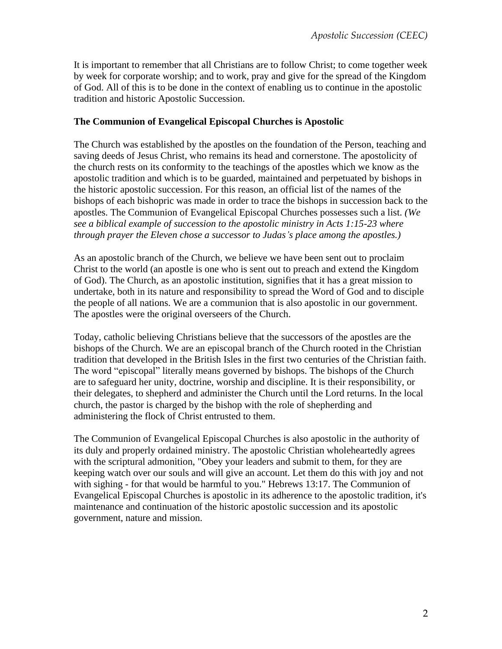It is important to remember that all Christians are to follow Christ; to come together week by week for corporate worship; and to work, pray and give for the spread of the Kingdom of God. All of this is to be done in the context of enabling us to continue in the apostolic tradition and historic Apostolic Succession.

#### **The Communion of Evangelical Episcopal Churches is Apostolic**

The Church was established by the apostles on the foundation of the Person, teaching and saving deeds of Jesus Christ, who remains its head and cornerstone. The apostolicity of the church rests on its conformity to the teachings of the apostles which we know as the apostolic tradition and which is to be guarded, maintained and perpetuated by bishops in the historic apostolic succession. For this reason, an official list of the names of the bishops of each bishopric was made in order to trace the bishops in succession back to the apostles. The Communion of Evangelical Episcopal Churches possesses such a list. *(We see a biblical example of succession to the apostolic ministry in Acts 1:15-23 where through prayer the Eleven chose a successor to Judas's place among the apostles.)*

As an apostolic branch of the Church, we believe we have been sent out to proclaim Christ to the world (an apostle is one who is sent out to preach and extend the Kingdom of God). The Church, as an apostolic institution, signifies that it has a great mission to undertake, both in its nature and responsibility to spread the Word of God and to disciple the people of all nations. We are a communion that is also apostolic in our government. The apostles were the original overseers of the Church.

Today, catholic believing Christians believe that the successors of the apostles are the bishops of the Church. We are an episcopal branch of the Church rooted in the Christian tradition that developed in the British Isles in the first two centuries of the Christian faith. The word "episcopal" literally means governed by bishops. The bishops of the Church are to safeguard her unity, doctrine, worship and discipline. It is their responsibility, or their delegates, to shepherd and administer the Church until the Lord returns. In the local church, the pastor is charged by the bishop with the role of shepherding and administering the flock of Christ entrusted to them.

The Communion of Evangelical Episcopal Churches is also apostolic in the authority of its duly and properly ordained ministry. The apostolic Christian wholeheartedly agrees with the scriptural admonition, "Obey your leaders and submit to them, for they are keeping watch over our souls and will give an account. Let them do this with joy and not with sighing - for that would be harmful to you." Hebrews 13:17. The Communion of Evangelical Episcopal Churches is apostolic in its adherence to the apostolic tradition, it's maintenance and continuation of the historic apostolic succession and its apostolic government, nature and mission.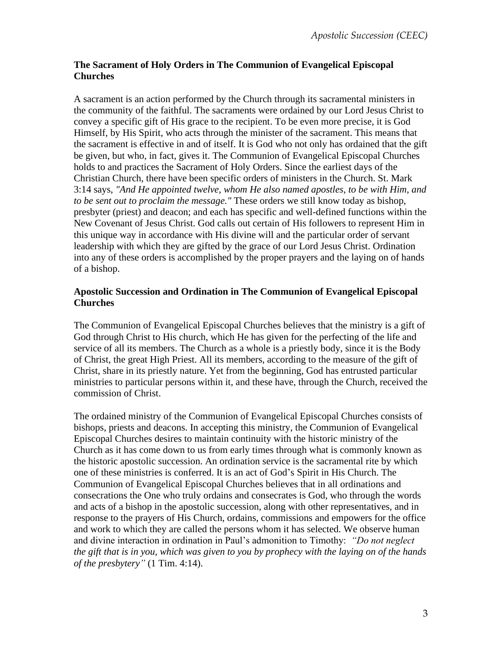## **The Sacrament of Holy Orders in The Communion of Evangelical Episcopal Churches**

A sacrament is an action performed by the Church through its sacramental ministers in the community of the faithful. The sacraments were ordained by our Lord Jesus Christ to convey a specific gift of His grace to the recipient. To be even more precise, it is God Himself, by His Spirit, who acts through the minister of the sacrament. This means that the sacrament is effective in and of itself. It is God who not only has ordained that the gift be given, but who, in fact, gives it. The Communion of Evangelical Episcopal Churches holds to and practices the Sacrament of Holy Orders. Since the earliest days of the Christian Church, there have been specific orders of ministers in the Church. St. Mark 3:14 says, *"And He appointed twelve, whom He also named apostles, to be with Him, and to be sent out to proclaim the message."* These orders we still know today as bishop, presbyter (priest) and deacon; and each has specific and well-defined functions within the New Covenant of Jesus Christ. God calls out certain of His followers to represent Him in this unique way in accordance with His divine will and the particular order of servant leadership with which they are gifted by the grace of our Lord Jesus Christ. Ordination into any of these orders is accomplished by the proper prayers and the laying on of hands of a bishop.

## **Apostolic Succession and Ordination in The Communion of Evangelical Episcopal Churches**

The Communion of Evangelical Episcopal Churches believes that the ministry is a gift of God through Christ to His church, which He has given for the perfecting of the life and service of all its members. The Church as a whole is a priestly body, since it is the Body of Christ, the great High Priest. All its members, according to the measure of the gift of Christ, share in its priestly nature. Yet from the beginning, God has entrusted particular ministries to particular persons within it, and these have, through the Church, received the commission of Christ.

The ordained ministry of the Communion of Evangelical Episcopal Churches consists of bishops, priests and deacons. In accepting this ministry, the Communion of Evangelical Episcopal Churches desires to maintain continuity with the historic ministry of the Church as it has come down to us from early times through what is commonly known as the historic apostolic succession. An ordination service is the sacramental rite by which one of these ministries is conferred. It is an act of God's Spirit in His Church. The Communion of Evangelical Episcopal Churches believes that in all ordinations and consecrations the One who truly ordains and consecrates is God, who through the words and acts of a bishop in the apostolic succession, along with other representatives, and in response to the prayers of His Church, ordains, commissions and empowers for the office and work to which they are called the persons whom it has selected. We observe human and divine interaction in ordination in Paul's admonition to Timothy: *"Do not neglect the gift that is in you, which was given to you by prophecy with the laying on of the hands of the presbytery"* (1 Tim. 4:14).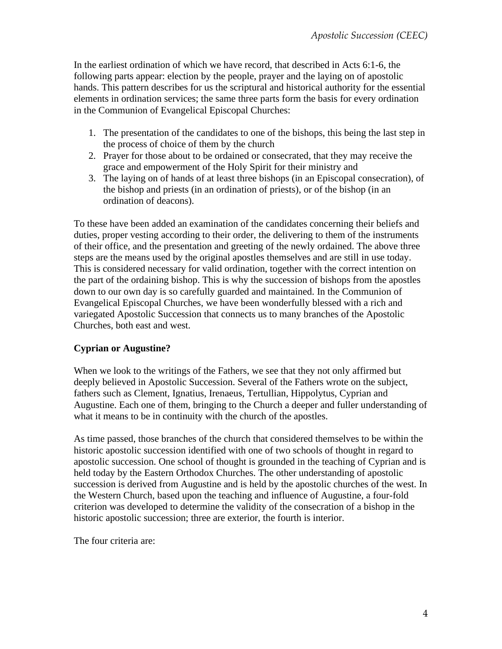In the earliest ordination of which we have record, that described in Acts 6:1-6, the following parts appear: election by the people, prayer and the laying on of apostolic hands. This pattern describes for us the scriptural and historical authority for the essential elements in ordination services; the same three parts form the basis for every ordination in the Communion of Evangelical Episcopal Churches:

- 1. The presentation of the candidates to one of the bishops, this being the last step in the process of choice of them by the church
- 2. Prayer for those about to be ordained or consecrated, that they may receive the grace and empowerment of the Holy Spirit for their ministry and
- 3. The laying on of hands of at least three bishops (in an Episcopal consecration), of the bishop and priests (in an ordination of priests), or of the bishop (in an ordination of deacons).

To these have been added an examination of the candidates concerning their beliefs and duties, proper vesting according to their order, the delivering to them of the instruments of their office, and the presentation and greeting of the newly ordained. The above three steps are the means used by the original apostles themselves and are still in use today. This is considered necessary for valid ordination, together with the correct intention on the part of the ordaining bishop. This is why the succession of bishops from the apostles down to our own day is so carefully guarded and maintained. In the Communion of Evangelical Episcopal Churches, we have been wonderfully blessed with a rich and variegated Apostolic Succession that connects us to many branches of the Apostolic Churches, both east and west.

### **Cyprian or Augustine?**

When we look to the writings of the Fathers, we see that they not only affirmed but deeply believed in Apostolic Succession. Several of the Fathers wrote on the subject, fathers such as Clement, Ignatius, Irenaeus, Tertullian, Hippolytus, Cyprian and Augustine. Each one of them, bringing to the Church a deeper and fuller understanding of what it means to be in continuity with the church of the apostles.

As time passed, those branches of the church that considered themselves to be within the historic apostolic succession identified with one of two schools of thought in regard to apostolic succession. One school of thought is grounded in the teaching of Cyprian and is held today by the Eastern Orthodox Churches. The other understanding of apostolic succession is derived from Augustine and is held by the apostolic churches of the west. In the Western Church, based upon the teaching and influence of Augustine, a four-fold criterion was developed to determine the validity of the consecration of a bishop in the historic apostolic succession; three are exterior, the fourth is interior.

The four criteria are: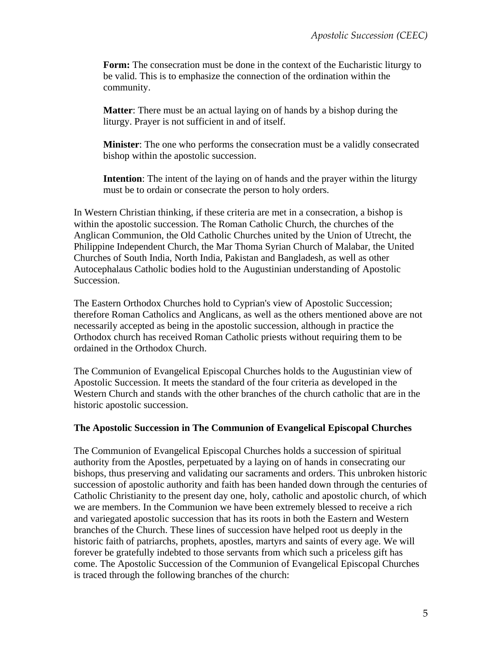**Form:** The consecration must be done in the context of the Eucharistic liturgy to be valid. This is to emphasize the connection of the ordination within the community.

**Matter**: There must be an actual laying on of hands by a bishop during the liturgy. Prayer is not sufficient in and of itself.

**Minister**: The one who performs the consecration must be a validly consecrated bishop within the apostolic succession.

**Intention**: The intent of the laying on of hands and the prayer within the liturgy must be to ordain or consecrate the person to holy orders.

In Western Christian thinking, if these criteria are met in a consecration, a bishop is within the apostolic succession. The Roman Catholic Church, the churches of the Anglican Communion, the Old Catholic Churches united by the Union of Utrecht, the Philippine Independent Church, the Mar Thoma Syrian Church of Malabar, the United Churches of South India, North India, Pakistan and Bangladesh, as well as other Autocephalaus Catholic bodies hold to the Augustinian understanding of Apostolic Succession.

The Eastern Orthodox Churches hold to Cyprian's view of Apostolic Succession; therefore Roman Catholics and Anglicans, as well as the others mentioned above are not necessarily accepted as being in the apostolic succession, although in practice the Orthodox church has received Roman Catholic priests without requiring them to be ordained in the Orthodox Church.

The Communion of Evangelical Episcopal Churches holds to the Augustinian view of Apostolic Succession. It meets the standard of the four criteria as developed in the Western Church and stands with the other branches of the church catholic that are in the historic apostolic succession.

#### **The Apostolic Succession in The Communion of Evangelical Episcopal Churches**

The Communion of Evangelical Episcopal Churches holds a succession of spiritual authority from the Apostles, perpetuated by a laying on of hands in consecrating our bishops, thus preserving and validating our sacraments and orders. This unbroken historic succession of apostolic authority and faith has been handed down through the centuries of Catholic Christianity to the present day one, holy, catholic and apostolic church, of which we are members. In the Communion we have been extremely blessed to receive a rich and variegated apostolic succession that has its roots in both the Eastern and Western branches of the Church. These lines of succession have helped root us deeply in the historic faith of patriarchs, prophets, apostles, martyrs and saints of every age. We will forever be gratefully indebted to those servants from which such a priceless gift has come. The Apostolic Succession of the Communion of Evangelical Episcopal Churches is traced through the following branches of the church: